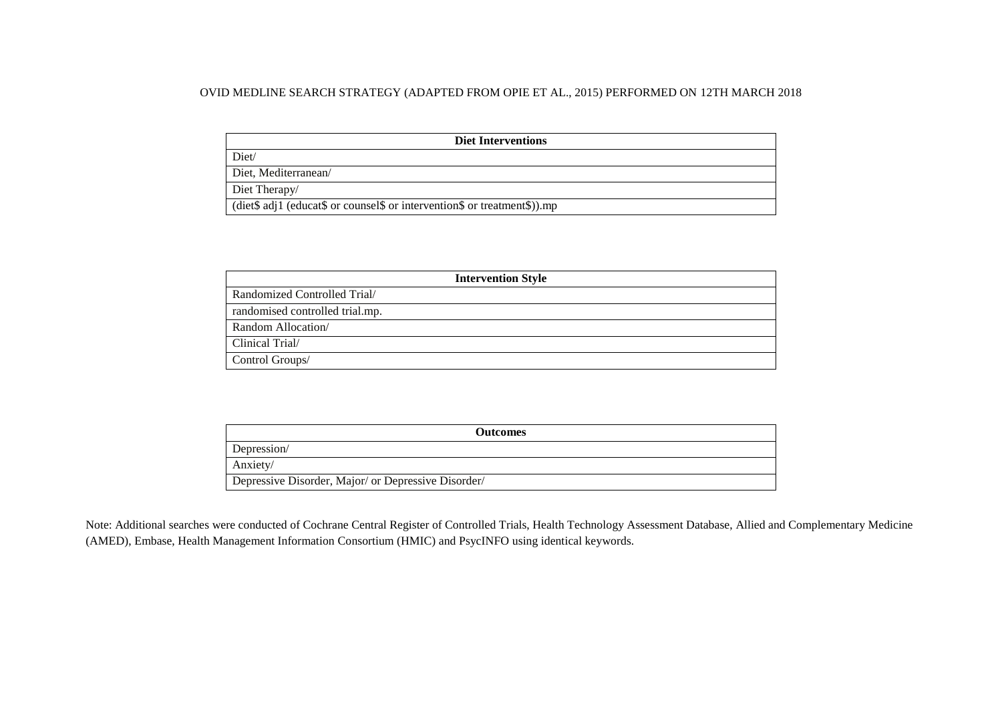## OVID MEDLINE SEARCH STRATEGY (ADAPTED FROM OPIE ET AL., 2015) PERFORMED ON 12TH MARCH 2018

| <b>Diet Interventions</b>                                                 |  |  |  |  |
|---------------------------------------------------------------------------|--|--|--|--|
| Diet/                                                                     |  |  |  |  |
| Diet, Mediterranean/                                                      |  |  |  |  |
| Diet Therapy/                                                             |  |  |  |  |
| (diet\$ adj1 (educat\$ or counsel\$ or intervention\$ or treatment\$)).mp |  |  |  |  |

| <b>Intervention Style</b>       |  |  |  |  |
|---------------------------------|--|--|--|--|
| Randomized Controlled Trial     |  |  |  |  |
| randomised controlled trial.mp. |  |  |  |  |
| Random Allocation/              |  |  |  |  |
| Clinical Trial/                 |  |  |  |  |
| Control Groups/                 |  |  |  |  |

| <b>Outcomes</b>                                     |
|-----------------------------------------------------|
| Depression/                                         |
| Anxiety/                                            |
| Depressive Disorder, Major/ or Depressive Disorder/ |

Note: Additional searches were conducted of Cochrane Central Register of Controlled Trials, Health Technology Assessment Database, Allied and Complementary Medicine (AMED), Embase, Health Management Information Consortium (HMIC) and PsycINFO using identical keywords.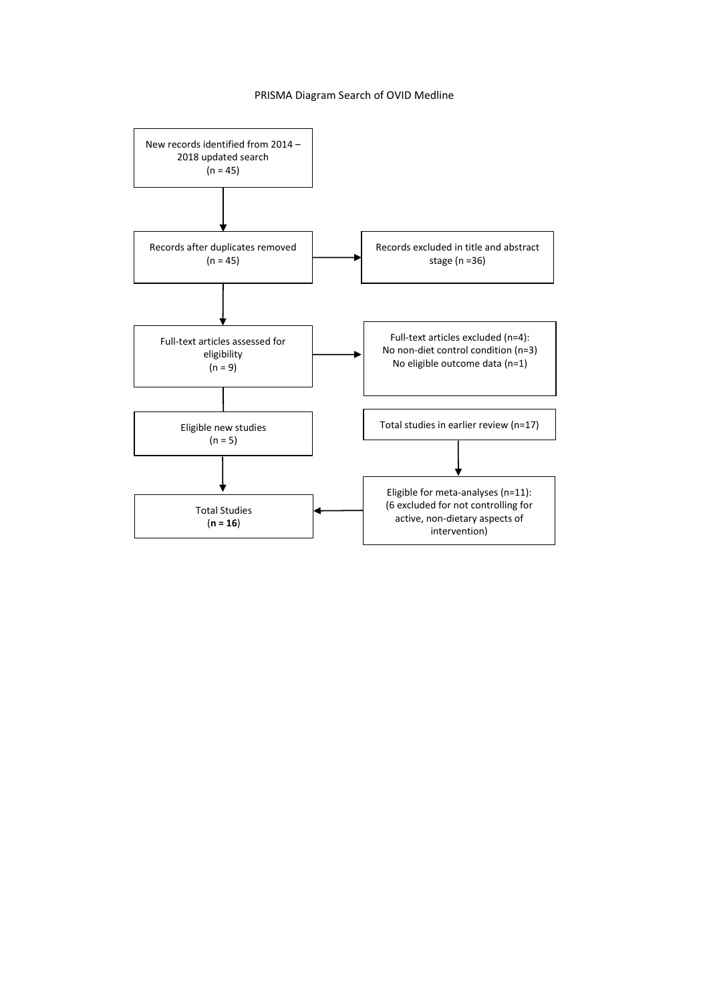## PRISMA Diagram Search of OVID Medline

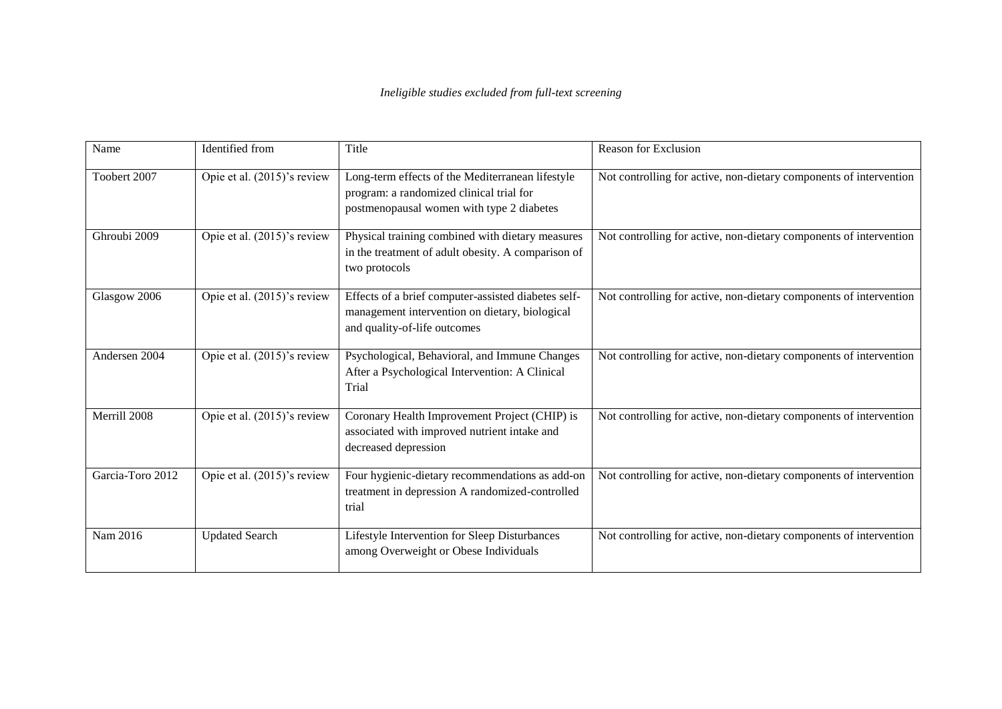## *Ineligible studies excluded from full-text screening*

| Name             | Identified from             | Title                                                                                                                                     | <b>Reason for Exclusion</b>                                        |
|------------------|-----------------------------|-------------------------------------------------------------------------------------------------------------------------------------------|--------------------------------------------------------------------|
| Toobert 2007     | Opie et al. (2015)'s review | Long-term effects of the Mediterranean lifestyle<br>program: a randomized clinical trial for<br>postmenopausal women with type 2 diabetes | Not controlling for active, non-dietary components of intervention |
| Ghroubi 2009     | Opie et al. (2015)'s review | Physical training combined with dietary measures<br>in the treatment of adult obesity. A comparison of<br>two protocols                   | Not controlling for active, non-dietary components of intervention |
| Glasgow 2006     | Opie et al. (2015)'s review | Effects of a brief computer-assisted diabetes self-<br>management intervention on dietary, biological<br>and quality-of-life outcomes     | Not controlling for active, non-dietary components of intervention |
| Andersen 2004    | Opie et al. (2015)'s review | Psychological, Behavioral, and Immune Changes<br>After a Psychological Intervention: A Clinical<br>Trial                                  | Not controlling for active, non-dietary components of intervention |
| Merrill 2008     | Opie et al. (2015)'s review | Coronary Health Improvement Project (CHIP) is<br>associated with improved nutrient intake and<br>decreased depression                     | Not controlling for active, non-dietary components of intervention |
| Garcia-Toro 2012 | Opie et al. (2015)'s review | Four hygienic-dietary recommendations as add-on<br>treatment in depression A randomized-controlled<br>trial                               | Not controlling for active, non-dietary components of intervention |
| Nam 2016         | <b>Updated Search</b>       | Lifestyle Intervention for Sleep Disturbances<br>among Overweight or Obese Individuals                                                    | Not controlling for active, non-dietary components of intervention |